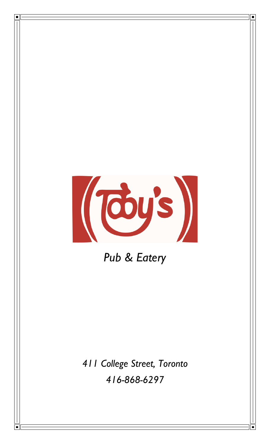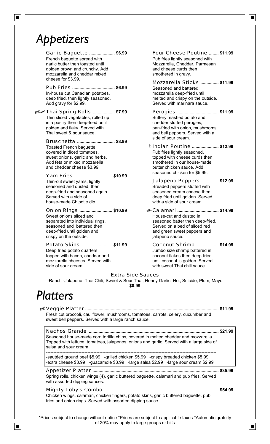## *Appetizers*

 $\blacksquare$ 

#### Garlic Baguette French baguette spread with garlic butter then toasted until golden brown and crunchy. Add mozzarella and cheddar mixed cheese for \$3.99.

Pub Fries **. \$6.99 ..................................** In-house cut Canadian potatoes, deep fried, then lightly seasoned. Add gravy for \$2.99.

À¼Thai Spring Rolls **. \$7.99 .................** Perogies Thin sliced vegetables, rolled up in a pastry then deep-fried until golden and flaky. Served with Thai sweet & sour sauce.

#### Bruschetta ............................... \$8.99 Toasted French baguette

covered in diced tomatoes, sweet onions, garlic and herbs. Add feta or mixed mozzarella and cheddar cheese \$3.99

Yam Fries **. \$10.99 ..............................** Thin-cut sweet yams, lightly seasoned and dusted, then deep-fried and seasoned again. Served with a side of house-made Chipotle dip.

Onion Rings ............................ \$10.99 **................................** \$10.99 Sweet onions sliced and

separated into individual rings, seasoned and battered then deep-fried until golden and crispy on the outside.

Potato Skins **. \$11.99 ........................** Coconut Shrimp

Deep fried potato quarters topped with bacon, cheddar and mozzarella cheeses. Served with side of sour cream.

**. \$6.99 ....................** Four Cheese Poutine **. \$11.99 .......** Pub fries lightly seasoned with Mozzarella, Cheddar, Parmesan and cheese curds then smothered in gravy.

 $\blacksquare$ 

 $\blacksquare$ 

**Mozzarella Sticks ............... \$11.99** Seasoned and battered mozzarella deep-fried until melted and crispy on the outside. Served with marinara sauce.

Buttery mashed potato and chedder stuffed perogies, pan-fried with onion, mushrooms and bell peppers. Served with a side of sour cream. Perogies ................................... \$11.99

**Indian Poutine ...................... \$12.99** Pub fries lightly seasoned, topped with cheese curds then smothered in our house-made butter chicken sauce. Add seasoned chicken for \$5.99.

Jalapeno Poppers **. \$12.99 .............** Breaded peppers stuffed with seasoned cream cheese then deep fried until golden. Served with a side of sour cream.

House-cut and dusted in seasoned batter then deep-fried. Served on a bed of sliced red and green sweet peppers and jalapeno sauce. **. \$14.99 .................................**

Jumbo size shrimp battered in coconut flakes then deep-fried until coconut is golden. Served with sweet Thai chili sauce. **. \$14.99 .................**

### Extra Side Sauces

-Ranch -Jalapeno, Thai Chili, Sweet & Sour Thai, Honey Garlic, Hot, Suicide, Plum, Mayo **\$0.99**

# *Platters*

ÀVeggie Platter **. \$11.99 .............................................................................................................** Fresh cut broccoli, cauliflower, mushrooms, tomatoes, carrots, celery, cucumber and sweet bell peppers. Served with a large ranch sauce.

Nachos Grande **. \$21.99 ..........................................................................................................** Seasoned house-made corn tortilla chips, covered in melted cheddar and mozzarella. Topped with lettuce, tomatoes, jalapenos, onions and garlic. Served with a large side of salsa and sour cream.

------------------------------------------------------------------------------------------------------------------- -sautéed ground beef \$5.99 -grilled chicken \$5.99 -crispy breaded chicken \$5.99 -extra cheese \$3.99 -guacamole \$3.99 -large salsa \$2.99 -large sour cream \$2.99

### Appetizer Platter **. \$35.99 .......................................................................................................**

Spring rolls, chicken wings (4), garlic buttered baguette, calamari and pub fries. Served with assorted dipping sauces.

### Mighty Toby's Combo **. \$54.99 .............................................................................................**

Chicken wings, calamari, chicken fingers, potato skins, garlic buttered baguette, pub fries and onion rings. Served with assorted dipping sauce.

\*Prices subject to change without notice \*Prices are subject to applicable taxes \*Automatic gratuity of 20% may apply to large groups or bills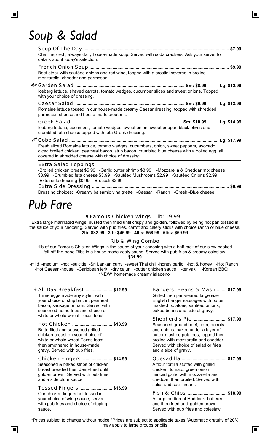## *Soup & Salad*

| Chef inspired, always daily house-made soup. Served with soda crackers. Ask your server for<br>details about today's selection. |                                                                                                                                                                                                                                                                     |             |  |
|---------------------------------------------------------------------------------------------------------------------------------|---------------------------------------------------------------------------------------------------------------------------------------------------------------------------------------------------------------------------------------------------------------------|-------------|--|
|                                                                                                                                 | Beef stock with sautéed onions and red wine, topped with a crostini covered in broiled<br>mozzarella, cheddar and parmesan.                                                                                                                                         |             |  |
|                                                                                                                                 | Iceberg lettuce, shaved carrots, tomato wedges, cucumber slices and sweet onions. Topped<br>with your choice of dressing.                                                                                                                                           | Lg: \$12.99 |  |
|                                                                                                                                 | Romaine lettuce tossed in our house-made creamy Caesar dressing, topped with shredded<br>parmesan cheese and house made croutons.                                                                                                                                   | Lg: \$13.99 |  |
|                                                                                                                                 | Iceberg lettuce, cucumber, tomato wedges, sweet onion, sweet pepper, black olives and<br>crumbled feta cheese topped with feta Greek dressing.                                                                                                                      | Lg: \$14.99 |  |
|                                                                                                                                 | Fresh sliced Romaine lettuce, tomato wedges, cucumbers, onion, sweet peppers, avocado,<br>diced broiled chicken, peameal bacon, strip bacon, crumbled blue cheese with a boiled egg, all<br>covered in shredded cheese with choice of dressing.                     |             |  |
|                                                                                                                                 | <b>Extra Salad Toppings</b><br>-Broiled chicken breast \$5.99 -Garlic butter shrimp \$8.99 -Mozzarella & Cheddar mix cheese<br>\$3.99 -Crumbled feta cheese \$3.99 -Sautéed Mushrooms \$2.99 -Sautéed Onions \$2.99<br>-Extra side dressing \$0.99 -Broccoli \$2.99 |             |  |
|                                                                                                                                 |                                                                                                                                                                                                                                                                     |             |  |

Dressing choices: -Creamy balsamic vinaigrette -Caesar -Ranch -Greek -Blue cheese.

# *Pub Fare*

### 0 Famous Chicken Wings 1lb: 19.99

Extra large marinated wings, dusted then fried until crispy and golden, followed by being hot pan tossed in the sauce of your choosing. Served with pub fries, carrot and celery sticks with choice ranch or blue cheese. **2lb: \$32.99 3lb: \$45.99 4lbs: \$58.99 5lbs: \$69.99**

### Rib & Wing Combo

1lb of our Famous Chicken Wings in the sauce of your choosing with a half rack of our slow-cooked fall-off-the-bone Ribs in a house-made zesty sauce. Served with pub fries & creamy coleslaw.

### **\$31.99**

-mild -medium -hot -suicide -Sri Lankan curry -sweet Thai chili -honey garlic -hot & honey -Hot Ranch -Hot Caesar -house -Caribbean jerk -dry cajun -butter chicken sauce -teriyaki -Korean BBQ \*NEW\* homemade creamy jalapeno

© All Day Breakfast ....................... \$12.99 Three eggs made any style , with your choice of strip bacon, peameal bacon, sausage or ham. Served with seasoned home fries and choice of white or whole wheat Texas toast. Hot Chicken **. \$13.99 ................................**

Butterflied and seasoned grilled chicken breast on your choice of white or whole wheat Texas toast, then smothered in house-made gravy. Served with pub fries.

#### Chicken Fingers **. \$14.99 .......................** Quesadilla Seasoned & baked strips of chicken breast breaded then deep-fried until golden brown. Served with pub fries and a side plum sauce.

### Tossed Fingers **. \$16.99 .........................**

Our chicken fingers hot tossed in your choice of wing sauce, served with pub fries and choice of dipping sauce.

### **. \$12.99 .....................** Bangers, Beans & Mash **. \$17.99 .......**

Grilled then pan-seared large size English banger sausages with butter mashed potatoes, sautéed onions, baked beans and side of gravy.

#### Shepherd's Pie .......................... \$17.99 Seasoned ground beef, corn, carrots and onions, baked under a layer of butter mashed potatoes, topped then broiled with mozzarella and cheddar. Served with choice of salad or fries and a side of gravy.

**. \$17.99 ....................................**

A flour tortilla stuffed with grilled chicken, tomato, green onion, minced garlic with mozzarella and cheddar, then broiled. Served with salsa and sour cream.

Fish & Chips **. \$18.99 ...............................**A large portion of Haddock battered and then fried until golden brown. Served with pub fries and coleslaw.

\*Prices subject to change without notice \*Prices are subject to applicable taxes \*Automatic gratuity of 20% may apply to large groups or bills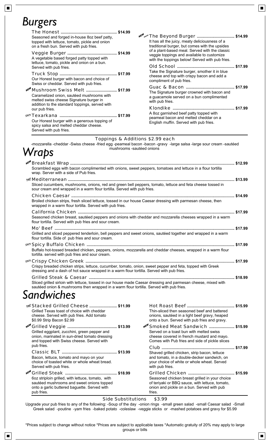# *Burgers*

 $\begin{tabular}{|c|c|} \hline \quad \quad & \quad \quad & \quad \quad \\ \hline \end{tabular}$ 

| Seasoned and forged in-house 8oz beef patty,<br>topped with lettuce, tomato, pickle and onion<br>on a fresh bun. Served with pub fries.                                                                                                                                                                                                                           |                                                                                                                                                                                                                                    | It has all the juicy, meaty deliciousness of a<br>traditional burger, but comes with the upsides                                                |  |  |
|-------------------------------------------------------------------------------------------------------------------------------------------------------------------------------------------------------------------------------------------------------------------------------------------------------------------------------------------------------------------|------------------------------------------------------------------------------------------------------------------------------------------------------------------------------------------------------------------------------------|-------------------------------------------------------------------------------------------------------------------------------------------------|--|--|
| A vegetable based forged patty topped with<br>lettuce, tomato, pickle and onion on a bun.                                                                                                                                                                                                                                                                         |                                                                                                                                                                                                                                    | of a plant-based meal. Served with the classic<br>veggie toppings and available to customize<br>with the toppings below! Served with pub fries. |  |  |
| Served with pub fries.<br>Our Honest burger with bacon and choice of                                                                                                                                                                                                                                                                                              |                                                                                                                                                                                                                                    | Take the Signature burger, smother it in blue<br>cheese and top with crispy bacon and add a<br>compliment of pub fries.                         |  |  |
| Swiss or cheddar. Served with pub fries.<br>NE <sup>NI</sup> Mushroom Swiss Melt  \$17.99<br>Caramelized onion, sautéed mushrooms with<br>melted swiss cheese Signature burger in<br>addition to the standard toppings, served with                                                                                                                               |                                                                                                                                                                                                                                    | The Signature burger crowned with bacon and<br>a guacamole served on a bun complimented<br>with pub fries.                                      |  |  |
| our pub fries.<br>Our Honest burger with a generous topping of<br>spicy salsa and melted cheddar cheese.<br>Served with pub fries.                                                                                                                                                                                                                                |                                                                                                                                                                                                                                    | A 8oz garnished beef patty topped with<br>peameal bacon and melted cheddar on a<br>English muffin. Served with pub fries.                       |  |  |
| Wraps                                                                                                                                                                                                                                                                                                                                                             | Toppings & Additions \$2.99 each<br>mushrooms -sautéed onions                                                                                                                                                                      | -mozzarella -cheddar -Swiss cheese -fried egg -peameal bacon -bacon -gravy -large salsa -large sour cream -sautéed                              |  |  |
| wrap. Server with a side of Pub fries.                                                                                                                                                                                                                                                                                                                            | العربي المستندر العديد المستندر المستندر المستندر المستندر المستندر المستندر المستندر المستندر العديد العالمي العام<br>Scrambled eggs with bacon complimented with onions, sweet peppers, tomatoes and lettuce in a flour tortilla |                                                                                                                                                 |  |  |
| Sliced cucumbers, mushrooms, onions, red and green bell peppers, tomato, lettuce and feta cheese tossed in<br>sour cream and wrapped in a warm flour tortilla. Served with pub fries.<br>Broiled chicken strips, fresh sliced lettuce, tossed in our house Caesar dressing with parmesan cheese, then<br>wrapped in a warm flour tortilla. Served with pub fries. |                                                                                                                                                                                                                                    |                                                                                                                                                 |  |  |
|                                                                                                                                                                                                                                                                                                                                                                   |                                                                                                                                                                                                                                    |                                                                                                                                                 |  |  |
| flour tortilla. Served with pub fries and sour cream.                                                                                                                                                                                                                                                                                                             |                                                                                                                                                                                                                                    | Seasoned chicken breast, sautéed peppers and onions with cheddar and mozzarella cheeses wrapped in a warm                                       |  |  |
| flour tortilla. Side of pub fries and sour cream.                                                                                                                                                                                                                                                                                                                 | Grilled and sliced peppered tenderloin, bell peppers and sweet onions, sautéed together and wrapped in a warm                                                                                                                      |                                                                                                                                                 |  |  |
| tortilla. served with pub fries and sour cream.                                                                                                                                                                                                                                                                                                                   |                                                                                                                                                                                                                                    | Buffalo hot-tossed breaded chicken, peppers, onions, mozzarella and cheddar cheeses, wrapped in a warm flour                                    |  |  |
| dressing and a dash of hot sauce wrapped in a warm flour tortilla. Served with pub fries.                                                                                                                                                                                                                                                                         |                                                                                                                                                                                                                                    | Crispy breaded chicken strips, lettuce, cucumber, tomato, onion, sweet pepper and feta, topped with Greek                                       |  |  |
| sautéed onion & mushrooms then wrapped in a warm flour tortilla. Served with pub fries.                                                                                                                                                                                                                                                                           |                                                                                                                                                                                                                                    | Sliced grilled sirloin with lettuce, tossed in our house made Caesar dressing and parmesan cheese, mixed with                                   |  |  |
| Sandwiches                                                                                                                                                                                                                                                                                                                                                        |                                                                                                                                                                                                                                    |                                                                                                                                                 |  |  |

## *Sandwiches*

 $\boxed{\blacksquare}$ 

| Stacked Grilled Cheese  \$11.99<br>Grilled Texas toast of choice with cheddar<br>cheese. Served with pub fries. Add tomato<br>\$0.99 Strip Bacon \$2.99      | Thin-sliced then seasoned beef and battered<br>onions, sautéed in a light beef gravy, heaped<br>onto a bun. Served with pub fries and gravy.                                             |  |
|--------------------------------------------------------------------------------------------------------------------------------------------------------------|------------------------------------------------------------------------------------------------------------------------------------------------------------------------------------------|--|
| Grilled eggplant, zucchini, green pepper and<br>onion, marinated in sun-dried tomato dressing<br>and topped with Swiss cheese. Served with                   | NE <sup>N</sup> Smoked Meat Sandwich  \$15.99<br>Served on a toast bun with melted swiss<br>cheese covered in french mustard and mayo.<br>Comes with Pub fries and side of pickle slices |  |
| pub fries.<br>Bacon, lettuce, tomato and mayo on your<br>choice of toasted white or whole wheat bread.<br>Served with pub fries.                             | Shaved grilled chicken, strip bacon, lettuce<br>and tomato, in a double-decker sandwich, on<br>your choice of white or whole wheat. Served<br>with pub fries.                            |  |
| 6oz striploin grilled, with lettuce, tomato, with<br>sautéed mushrooms and sweet onions topped<br>onto a garlic buttered baguette. Served with<br>pub fries. | Seasoned chicken breast grilled in your choice<br>of teriyaki or BBQ sauce, with lettuce, tomato,<br>onion and pickle on a bun. Served with pub<br>fries.                                |  |

#### Side Substitutions \$3.99

Upgrade your pub fries to any of the following: -Soup of the day -onion rings -small green salad -small Caesar salad -Small Greek salad -poutine -yam fries -baked potato -coleslaw -veggie sticks or -mashed potatoes and gravy for \$5.99

\*Prices subject to change without notice \*Prices are subject to applicable taxes \*Automatic gratuity of 20% may apply to large groups or bills

 $\boxed{\blacksquare}$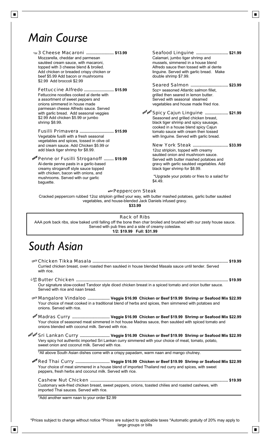## *Main Course*

baguette.

| New 3 Cheese Macaroni  \$13.99                        | Seafood Linguine  \$21.99                                                                                                                                                                                                          |  |
|-------------------------------------------------------|------------------------------------------------------------------------------------------------------------------------------------------------------------------------------------------------------------------------------------|--|
| Mozzarella, cheddar and parmesan                      | Calamari, jumbo tiger shrimp and                                                                                                                                                                                                   |  |
| sautéed cream sauce, with macaroni,                   | mussels, simmered in a house blend                                                                                                                                                                                                 |  |
| topped with 3 cheese blend & broiled.                 | Alfredo sauce then tossed with al dente                                                                                                                                                                                            |  |
| Add chicken or breaded crispy chicken or              | linguine. Served with garlic bread. Make                                                                                                                                                                                           |  |
| beef \$5.99 Add bacon or mushrooms                    | double shrimp \$7.99.                                                                                                                                                                                                              |  |
| \$2.99 Add broccoli \$2.99                            |                                                                                                                                                                                                                                    |  |
|                                                       |                                                                                                                                                                                                                                    |  |
| <b>Fettuccine Alfredo  \$15.99</b>                    | 5oz+ seasoned Atlantic salmon fillet,                                                                                                                                                                                              |  |
| Fettuccine noodles cooked al dente with               | grilled then seared in lemon butter.                                                                                                                                                                                               |  |
| a assortment of sweet peppers and                     | Served with seasonal steamed                                                                                                                                                                                                       |  |
| onions simmered in house made                         | vegetables and house made fried rice.                                                                                                                                                                                              |  |
| parmesan cheese Alfredo sauce. Served                 |                                                                                                                                                                                                                                    |  |
| with garlic bread. Add seasonal veggies               | но <sup>т</sup> но <sup>т</sup> Spicy Cajun Linguine  \$21.99                                                                                                                                                                      |  |
| \$2.99 Add chicken \$5.99 or jumbo                    | Seasoned and grilled chicken breast,                                                                                                                                                                                               |  |
| shrimp \$8.99.                                        | black tiger shrimp and spicy sausage,                                                                                                                                                                                              |  |
|                                                       | cooked in a house blend spicy Cajun                                                                                                                                                                                                |  |
| <b>Fusilli Primavera  \$15.99</b>                     | tomato sauce with cream then tossed                                                                                                                                                                                                |  |
| Vegetable fusilli with a fresh seasonal               | with linguine. Served with garlic bread.                                                                                                                                                                                           |  |
| vegetables and spices, tossed in olive oil            |                                                                                                                                                                                                                                    |  |
| and cream sauce. Add Chicken \$5.99 or                | New York Steak  \$33.99                                                                                                                                                                                                            |  |
| add black tiger shrimp for \$8.99.                    | 12oz striploin, topped with creamy                                                                                                                                                                                                 |  |
|                                                       | sautéed onion and mushroom sauce.                                                                                                                                                                                                  |  |
| <sup>العهد</sup> Penne or Fusilli Stroganoff  \$19.99 | Served with butter mashed potatoes and                                                                                                                                                                                             |  |
| Al-dente penne pasts in a garlic-based                | gravy with garlic sautéed vegetables. Add                                                                                                                                                                                          |  |
| creamy stroganoff style sauce topped                  | black tiger shrimp for \$8.99.                                                                                                                                                                                                     |  |
| with chicken, bacon with onions, and                  | $\bullet$ . The contract of the contract of the contract of the contract of the contract of the contract of the contract of the contract of the contract of the contract of the contract of the contract of the contract of the co |  |

 \*Upgrade your potato or fries to a salad for \$4.49.

#### **NEW Peppercorn Steak**

Cracked peppercorn rubbed 12oz striploin grilled your way, with butter mashed potatoes, garlic butter sautéed vegetables, and house-blended Jack Daniels infused gravy. **\$33.99**

#### Rack of Ribs

AAA pork back ribs, slow baked until falling off the bone then char broiled and brushed with our zesty house sauce. Served with pub fries and a side of creamy coleslaw. **1/2: \$19.99 Full: \$31.99**

## *South Asian*

 $\blacksquare$ 

mushrooms. Served with our garlic

| Curried chicken breast, oven roasted then sautéed in house blended Masala sauce until tender. Served<br>with rice.                                                                                                                                                                  |
|-------------------------------------------------------------------------------------------------------------------------------------------------------------------------------------------------------------------------------------------------------------------------------------|
|                                                                                                                                                                                                                                                                                     |
| Our signature slow-cooked Tandoor style diced chicken breast in a spiced tomato and onion butter sauce.<br>Served with rice and naan bread.                                                                                                                                         |
| pl@ Mangalore Vindaloo  Veggie \$16.99 Chicken or Beef \$19.99 Shrimp or Seafood Mix \$22.99<br>Your choice of meat cooked in a traditional blend of herbs and spices, then simmered with potatoes and<br>onions. Served with rice.                                                 |
| Your choice of seasoned meat simmered in hot house Madras sauce, then sautéed with spiced tomato and<br>onions blended with coconut milk. Served with rice.                                                                                                                         |
|                                                                                                                                                                                                                                                                                     |
| <sup>nof</sup> n <sup>of</sup> Sri Lankan Curry  Veggie \$16.99  Chicken or Beef \$19.99  Shrimp or Seafood Mix \$22.99<br>Very spicy hot authentic imported Sri Lankan curry simmered with your choice of meat, tomato, potato,<br>sweet onion and coconut milk. Served with rice. |
| *All above South Asian dishes come with a crispy papadam, warm naan and mango chutney.                                                                                                                                                                                              |
| Your choice of meat simmered in a house blend of imported Thailand red curry and spices, with sweet<br>peppers, fresh herbs and coconut milk. Served with rice.                                                                                                                     |
| Customary wok-fried chicken breast, sweet peppers, onions, toasted chilies and roasted cashews, with<br>imported Thai sauces. Served with rice.                                                                                                                                     |
| *Add another warm naan to your order \$2.99                                                                                                                                                                                                                                         |
|                                                                                                                                                                                                                                                                                     |
|                                                                                                                                                                                                                                                                                     |
|                                                                                                                                                                                                                                                                                     |

 $\blacksquare$